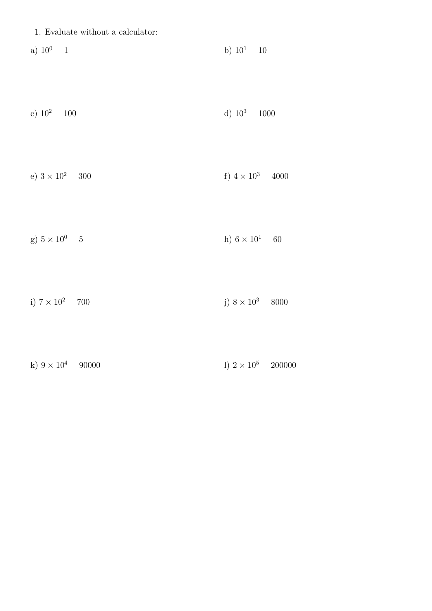|                        | 1. Evaluate without a calculator: |                         |  |
|------------------------|-----------------------------------|-------------------------|--|
| a) $10^0$ 1            |                                   | b) $10^1$ 10            |  |
| c) $10^2$ 100          |                                   | d) $10^3$ 1000          |  |
| e) $3 \times 10^2$ 300 |                                   | f) $4 \times 10^3$ 4000 |  |
| g) $5 \times 10^0$ 5   |                                   | h) $6\times10^1$ $-60$  |  |
| i) $7 \times 10^2$ 700 |                                   | j) $8 \times 10^3$ 8000 |  |
|                        |                                   |                         |  |

| k) $9 \times 10^4$ 90000 | 1) $2 \times 10^5$ 200000 |  |
|--------------------------|---------------------------|--|
|--------------------------|---------------------------|--|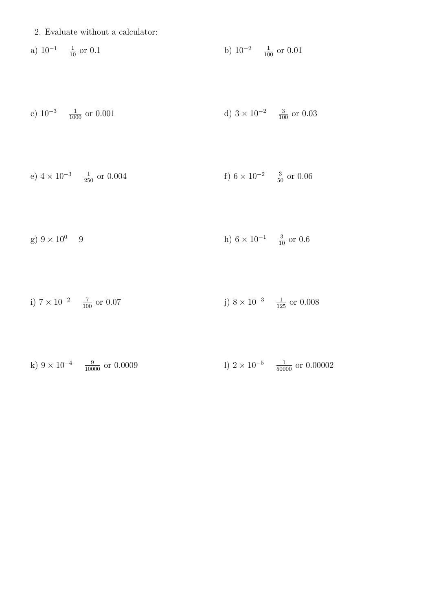2. Evaluate without a calculator:

a) 
$$
10^{-1}
$$
  $\frac{1}{10}$  or 0.1 b)  $10^{-2}$   $\frac{1}{100}$  or 0.01

c) 
$$
10^{-3}
$$
  $\frac{1}{1000}$  or 0.001 d)  $3 \times 10^{-2}$   $\frac{3}{100}$  or 0.03

e) 
$$
4 \times 10^{-3}
$$
  $\frac{1}{250}$  or 0.004 f)  $6 \times 10^{-2}$   $\frac{3}{50}$  or 0.06

g) 
$$
9 \times 10^0
$$
 9 h)  $6 \times 10^{-1}$   $\frac{3}{10}$  or 0.6

i) 
$$
7 \times 10^{-2}
$$
  $\frac{7}{100}$  or 0.07   
j)  $8 \times 10^{-3}$   $\frac{1}{125}$  or 0.008

k) 
$$
9 \times 10^{-4}
$$
  $\frac{9}{10000}$  or 0.0009   
l)  $2 \times 10^{-5}$   $\frac{1}{50000}$  or 0.00002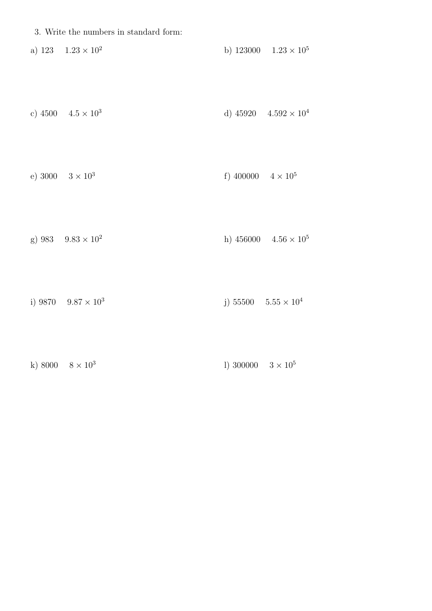|  |  | 3. Write the numbers in standard form: |  |
|--|--|----------------------------------------|--|
|  |  |                                        |  |

a)  $123 \t- 1.23 \times 10^2$ b)  $123000 - 1.23 \times 10^5$ 

c)  $4500 \, 4.5 \times 10^3$ d) 45920 4.592  $\times$  10<sup>4</sup>

e) 3000  $3 \times 10^3$ f) 400000  $4 \times 10^5$ 

g) 983  $9.83 \times 10^2$ h)  $456000 \t 4.56 \times 10^5$ 

i) 9870  $9.87 \times 10^3$ j)  $55500 - 5.55 \times 10^4$ 

| k) 8000 $8 \times 10^3$ | 1) 300000 $3 \times 10^5$ |  |
|-------------------------|---------------------------|--|
|-------------------------|---------------------------|--|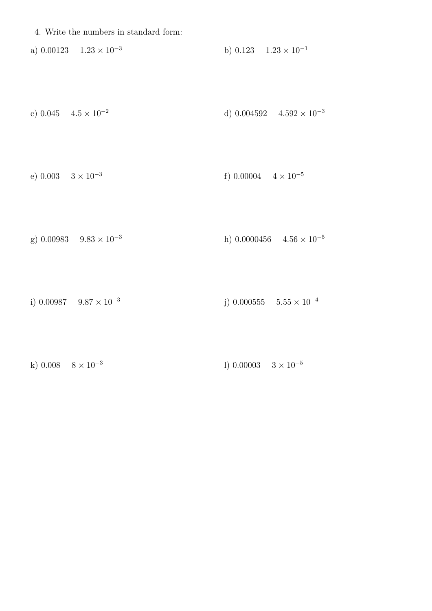- 4. Write the numbers in standard form:
- a)  $0.00123 \t 1.23 \times 10^{-3}$ b)  $0.123 \t1.23 \times 10^{-1}$
- c)  $0.045$   $4.5 \times 10^{-2}$ d)  $0.004592 \quad 4.592 \times 10^{-3}$
- e) 0.003  $3 \times 10^{-3}$ f)  $0.00004$   $4 \times 10^{-5}$
- g) 0.00983  $9.83 \times 10^{-3}$ h) 0.0000456  $4.56 \times 10^{-5}$
- i)  $0.00987$   $9.87 \times 10^{-3}$ j) 0.000555  $5.55 \times 10^{-4}$
- k)  $0.008 \t 8 \times 10^{-3}$ 1)  $0.00003 \t 3 \times 10^{-5}$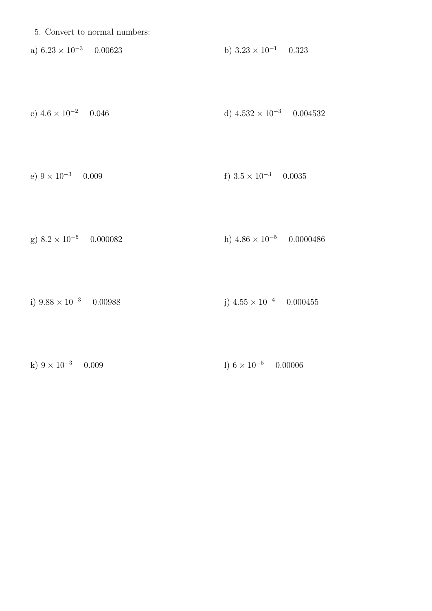|  |  | 5. Convert to normal numbers: |
|--|--|-------------------------------|
|  |  |                               |

- a)  $6.23 \times 10^{-3}$  0.00623 b)  $3.23 \times 10^{-1}$  0.323
- d)  $4.532\times 10^{-3}$   $-0.004532$ c)  $4.6 \times 10^{-2}$  0.046
- e)  $9 \times 10^{-3}$  0.009 f)  $3.5 \times 10^{-3}$  0.0035
- g)  $8.2 \times 10^{-5}$  0.000082 h)  $4.86 \times 10^{-5}$  0.0000486
- i)  $9.88 \times 10^{-3}$  0.00988 j)  $4.55\times 10^{-4}$   $-0.000455$
- k)  $9 \times 10^{-3}$  0.009 l)  $6 \times 10^{-5}$  0.00006